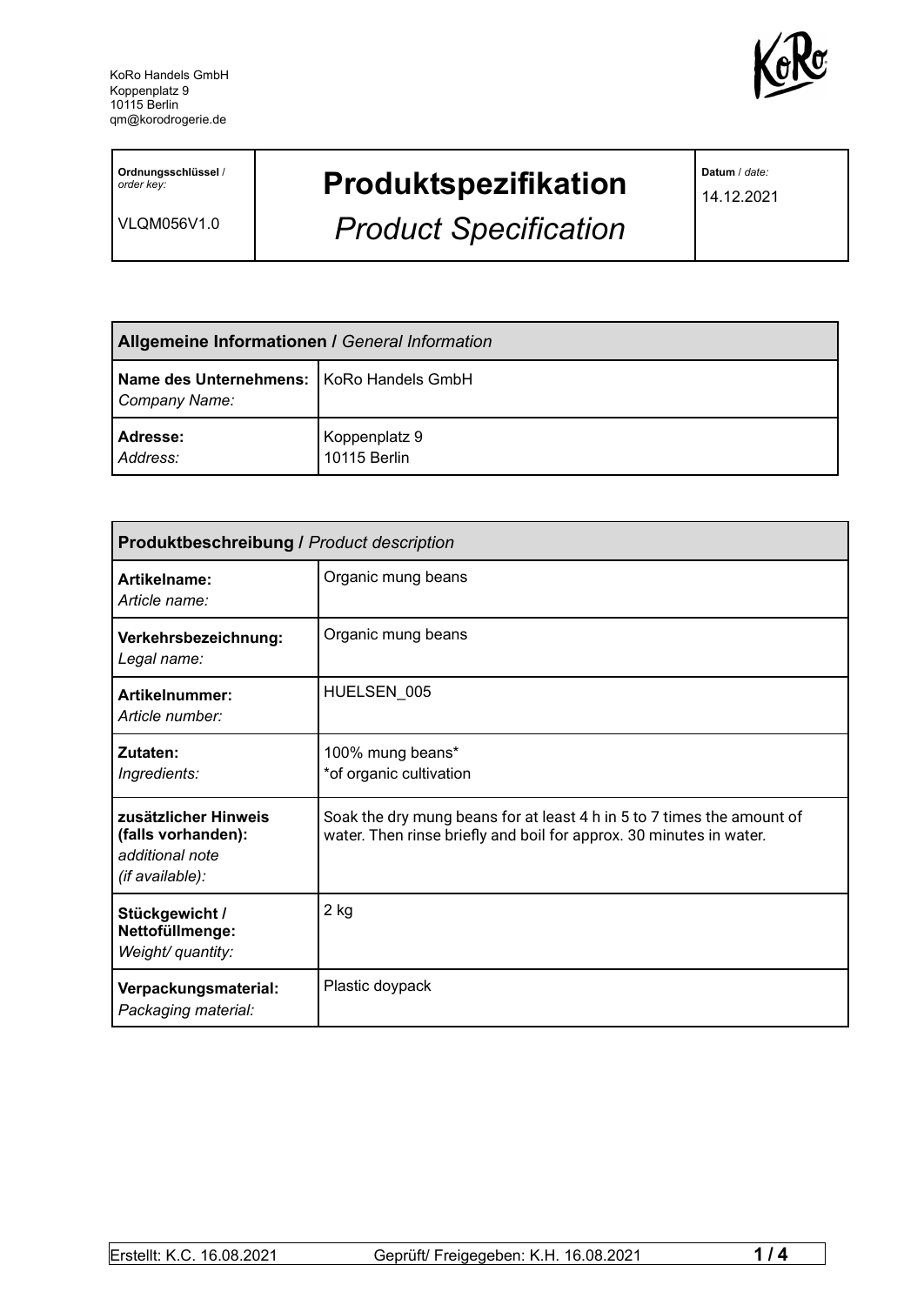

**Ordnungsschlüssel** / *order key:*

VLQM056V1.0

## **Produktspezifikation**

*Product Specification*

**Datum** / *date:*

14.12.2021

| <b>Allgemeine Informationen / General Information</b>       |                               |
|-------------------------------------------------------------|-------------------------------|
| Name des Unternehmens:   KoRo Handels GmbH<br>Company Name: |                               |
| Adresse:<br>Address:                                        | Koppenplatz 9<br>10115 Berlin |

| <b>Produktbeschreibung / Product description</b>                                 |                                                                                                                                               |  |
|----------------------------------------------------------------------------------|-----------------------------------------------------------------------------------------------------------------------------------------------|--|
| Artikelname:<br>Article name:                                                    | Organic mung beans                                                                                                                            |  |
| Verkehrsbezeichnung:<br>Legal name:                                              | Organic mung beans                                                                                                                            |  |
| Artikelnummer:<br>Article number:                                                | HUELSEN 005                                                                                                                                   |  |
| Zutaten:<br>Ingredients:                                                         | 100% mung beans*<br>*of organic cultivation                                                                                                   |  |
| zusätzlicher Hinweis<br>(falls vorhanden):<br>additional note<br>(if available): | Soak the dry mung beans for at least 4 h in 5 to 7 times the amount of<br>water. Then rinse briefly and boil for approx. 30 minutes in water. |  |
| Stückgewicht /<br>Nettofüllmenge:<br>Weight/ quantity:                           | 2 kg                                                                                                                                          |  |
| Verpackungsmaterial:<br>Packaging material:                                      | Plastic doypack                                                                                                                               |  |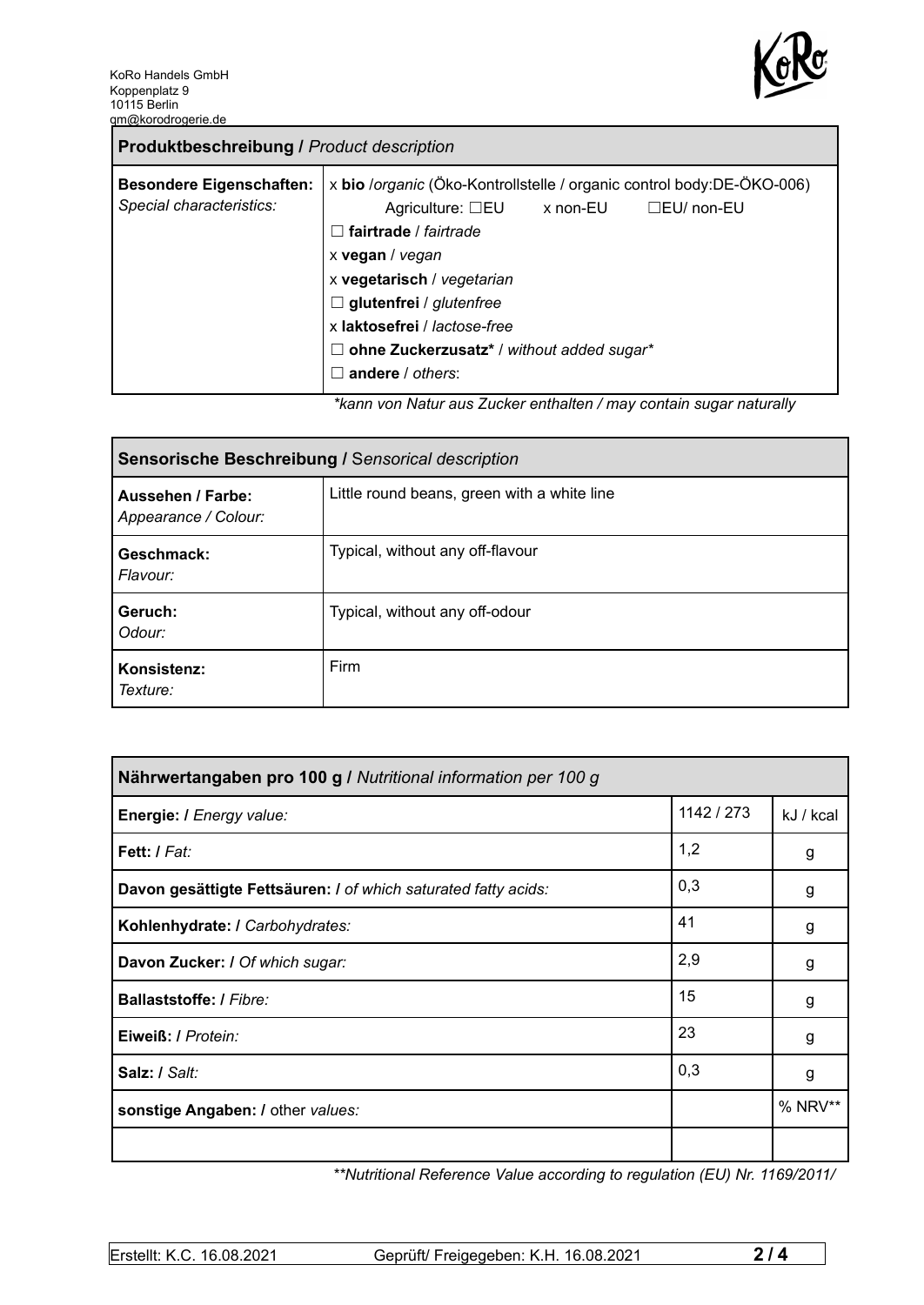

| x bio /organic (Öko-Kontrollstelle / organic control body:DE-ÖKO-006)<br><b>Besondere Eigenschaften:</b><br>Special characteristics:<br>Agriculture: $\square$ EU x non-EU<br>$\Box$ EU/ non-EU<br>fairtrade / fairtrade<br>$\perp$<br>x vegan / vegan<br>x vegetarisch / vegetarian<br>$\Box$ glutenfrei / glutenfree<br>x laktosefrei / lactose-free |
|--------------------------------------------------------------------------------------------------------------------------------------------------------------------------------------------------------------------------------------------------------------------------------------------------------------------------------------------------------|
| ohne Zuckerzusatz* / without added sugar*<br>Ш<br>andere $/$ others:<br>×.<br>ticana yan Natur aya Zuaker anthaltan (may santain ayaar naturally                                                                                                                                                                                                       |

*\*kann von Natur aus Zucker enthalten / may contain sugar naturally*

| Sensorische Beschreibung / Sensorical description |                                             |  |
|---------------------------------------------------|---------------------------------------------|--|
| Aussehen / Farbe:<br>Appearance / Colour:         | Little round beans, green with a white line |  |
| Geschmack:<br>Flavour:                            | Typical, without any off-flavour            |  |
| Geruch:<br>Odour:                                 | Typical, without any off-odour              |  |
| Konsistenz:<br>Texture:                           | Firm                                        |  |

| Nährwertangaben pro 100 g / Nutritional information per 100 g  |            |           |  |
|----------------------------------------------------------------|------------|-----------|--|
| Energie: I Energy value:                                       | 1142 / 273 | kJ / kcal |  |
| Fett: I Fat:                                                   | 1,2        | g         |  |
| Davon gesättigte Fettsäuren: I of which saturated fatty acids: | 0,3        | g         |  |
| Kohlenhydrate: I Carbohydrates:                                | 41         | g         |  |
| Davon Zucker: I Of which sugar:                                | 2,9        | g         |  |
| Ballaststoffe: / Fibre:                                        | 15         | g         |  |
| Eiweiß: / Protein:                                             | 23         | g         |  |
| Salz: / Salt:                                                  | 0,3        | g         |  |
| sonstige Angaben: / other values:                              |            | % NRV**   |  |
|                                                                |            |           |  |

*\*\*Nutritional Reference Value according to regulation (EU) Nr. 1169/2011/*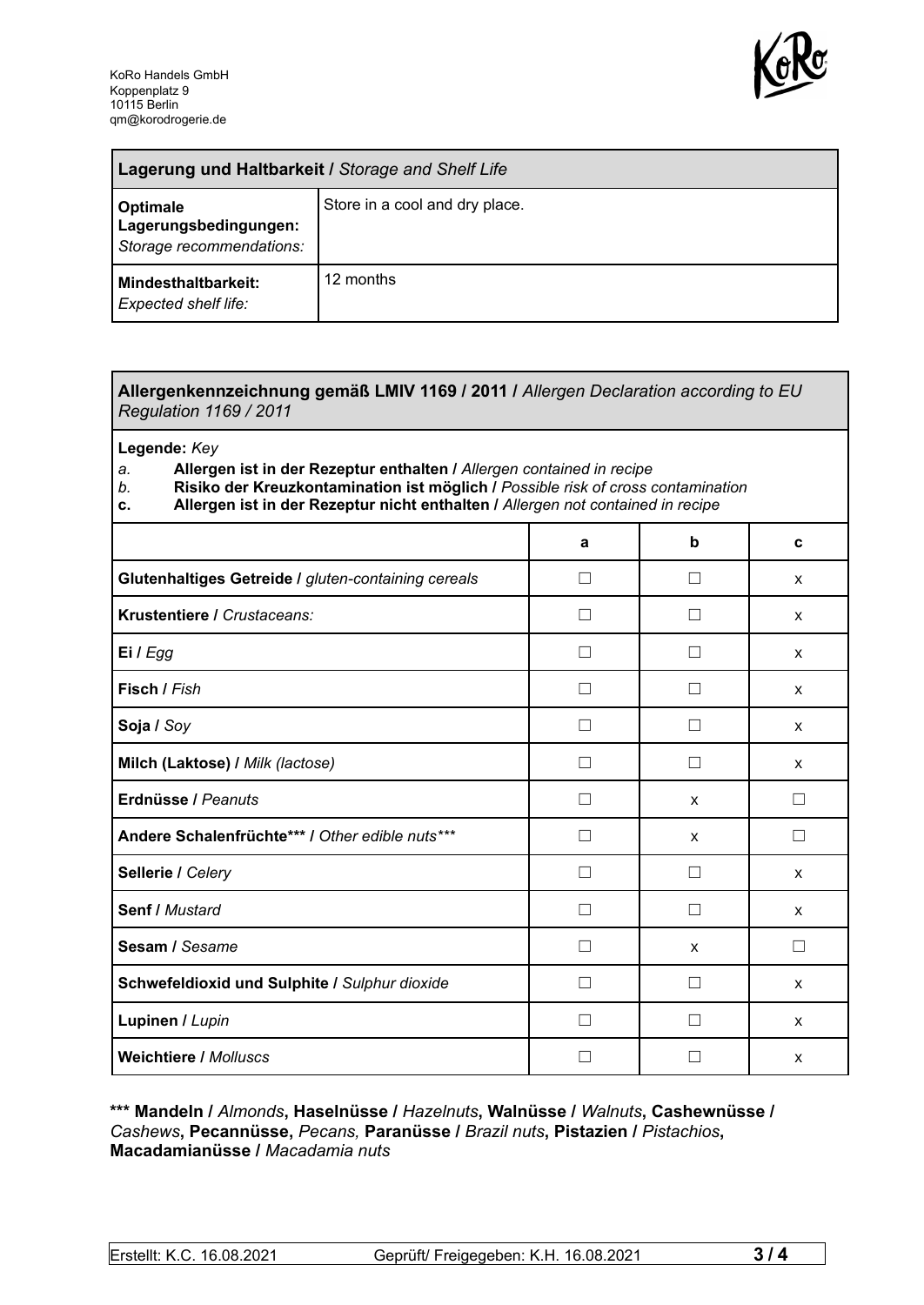

| Lagerung und Haltbarkeit / Storage and Shelf Life             |                                |
|---------------------------------------------------------------|--------------------------------|
| Optimale<br>Lagerungsbedingungen:<br>Storage recommendations: | Store in a cool and dry place. |
| <b>Mindesthaltbarkeit:</b><br>Expected shelf life:            | 12 months                      |

## **Allergenkennzeichnung gemäß LMIV 1169 / 2011 /** *Allergen Declaration according to EU Regulation 1169 / 2011*

**Legende:** *Key*

*a.* **Allergen ist in der Rezeptur enthalten /** *Allergen contained in recipe*

- *b.* **Risiko der Kreuzkontamination ist möglich /** *Possible risk of cross contamination*
- **c. Allergen ist in der Rezeptur nicht enthalten /** *Allergen not contained in recipe*

|                                                     | a              | b             | C |
|-----------------------------------------------------|----------------|---------------|---|
| Glutenhaltiges Getreide / gluten-containing cereals | П              | $\mathcal{L}$ | X |
| Krustentiere / Crustaceans:                         | - 1            |               | X |
| Ei / Egg                                            |                |               | X |
| Fisch / Fish                                        |                |               | X |
| Soja / Soy                                          |                |               | X |
| Milch (Laktose) / Milk (lactose)                    |                |               | X |
| Erdnüsse / Peanuts                                  | $\perp$        | $\mathsf{x}$  | □ |
| Andere Schalenfrüchte*** / Other edible nuts***     | П              | X             | П |
| Sellerie / Celery                                   | $\blacksquare$ | $\mathsf{L}$  | X |
| Senf / Mustard                                      | $\perp$        | П             | X |
| Sesam / Sesame                                      | - 1            | X             | □ |
| Schwefeldioxid und Sulphite / Sulphur dioxide       |                |               | X |
| Lupinen / Lupin                                     |                |               | X |
| <b>Weichtiere / Molluscs</b>                        |                |               | X |

## **\*\*\* Mandeln /** *Almonds***, Haselnüsse /** *Hazelnuts***, Walnüsse /** *Walnuts***, Cashewnüsse /** *Cashews***, Pecannüsse,** *Pecans,* **Paranüsse /** *Brazil nuts***, Pistazien /** *Pistachios***, Macadamianüsse /** *Macadamia nuts*